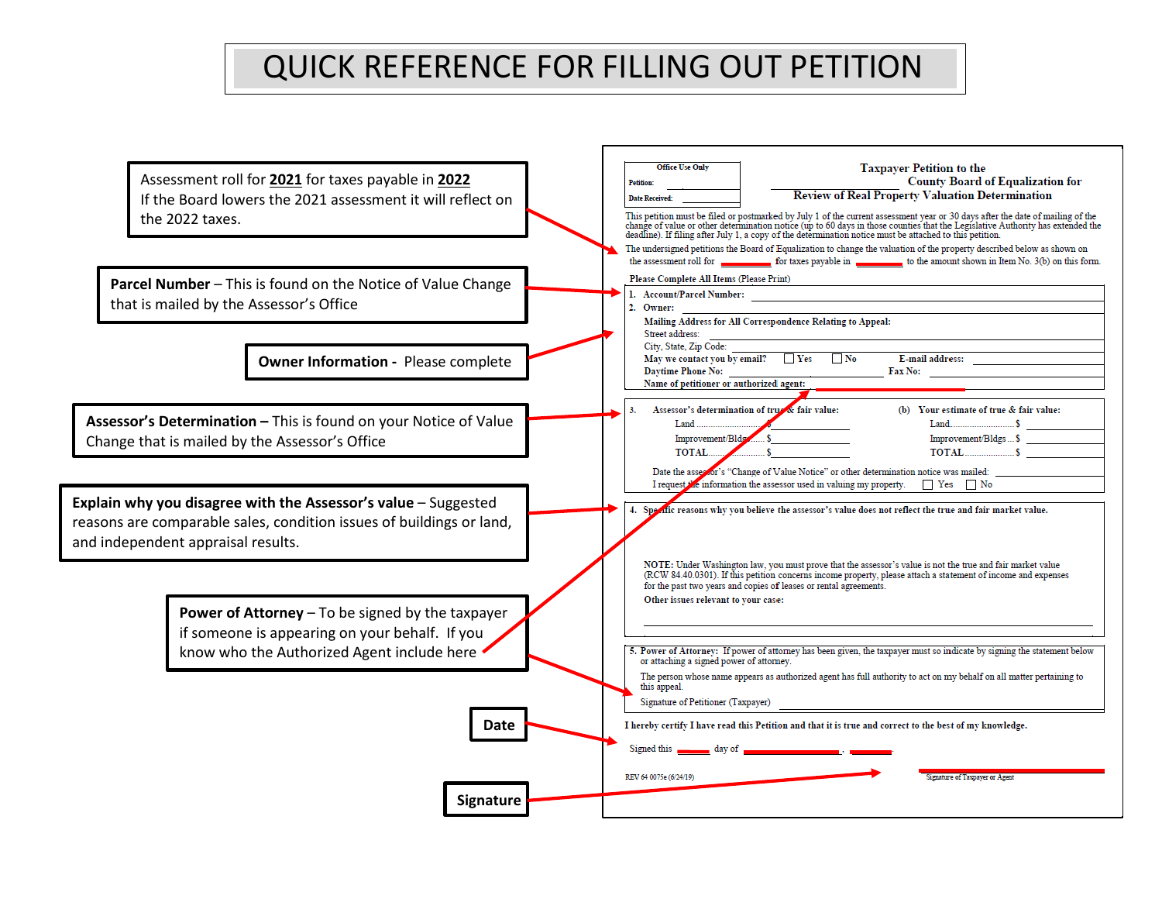## QUICK REFERENCE FOR FILLING OUT PETITION